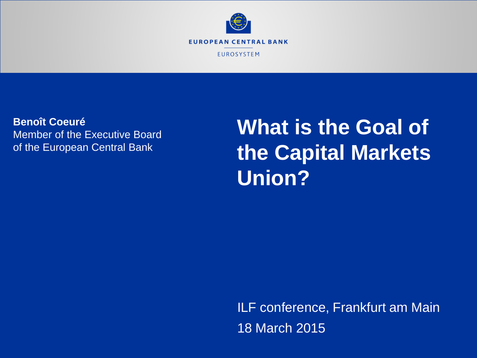

**Benoît Coeuré** Member of the Executive Board of the European Central Bank

**What is the Goal of the Capital Markets Union?**

ILF conference, Frankfurt am Main 18 March 2015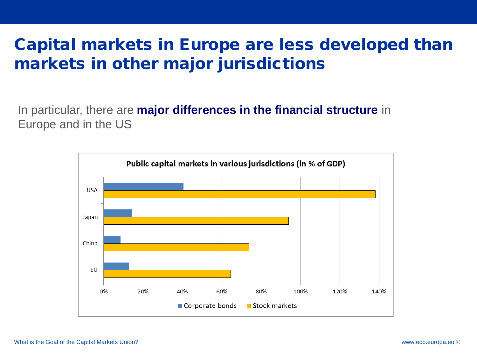# Capital markets in Europe are less developed than markets in other major jurisdictions

In particular, there are **major differences in the financial structure** in Europe and in the US

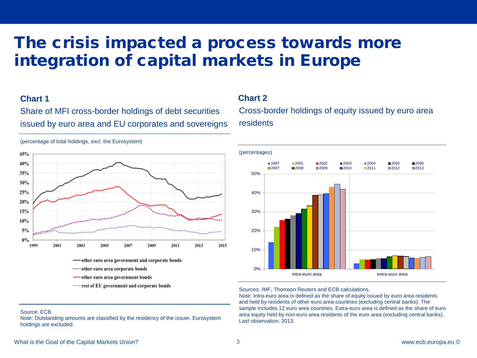# The crisis impacted a process towards more integration of capital markets in Europe

#### **Chart 1**

Source: ECB.

holdings are excluded.

Share of MFI cross-border holdings of debt securities issued by euro area and EU corporates and sovereigns



-rest of EU government and corporate bonds

Note: Outstanding amounts are classified by the residency of the issuer. Eurosystem

#### **Chart 2**

Cross-border holdings of equity issued by euro area Cross-border holdings of equity issued by euro area residents residents



#### Sources: IMF, Thomson Reuters and ECB calculations. Sources: IMF, Thomson Reuters and ECB calculations.

Note: Intra-euro area is defined as the share of equity issued by euro area residents Note: Intra-euro area is defined as the share of equity issued by euro area residents and held by residents of other euro area countries (excluding central banks). The and held by residents of other euro area countries (excluding central banks). The sample includes 12 euro area countries. Extra-euro area is defined as the share of euro area equity held by non-euro area residents of the euro area (excluding central banks). area equity held by non-euro area residents of the euro area (excluding central banks). Last observation: 2012. Last observation: 2013.

#### (percentage of total holdings, excl. the Eurosystem)

#### What is the Goal of the Capital Markets Union? 3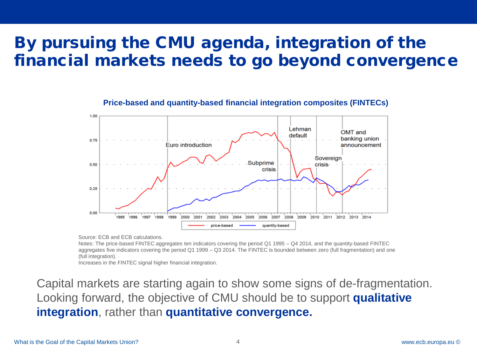# By pursuing the CMU agenda, integration of the financial markets needs to go beyond convergence



#### **Price-based and quantity-based financial integration composites (FINTECs)**

Source: ECB and ECB calculations.

Notes: The price-based FINTEC aggregates ten indicators covering the period Q1 1995 – Q4 2014, and the quantity-based FINTEC aggregates five indicators covering the period Q1 1999 – Q3 2014. The FINTEC is bounded between zero (full fragmentation) and one (full integration).

Increases in the FINTEC signal higher financial integration.

Capital markets are starting again to show some signs of de-fragmentation. Looking forward, the objective of CMU should be to support **qualitative integration**, rather than **quantitative convergence.**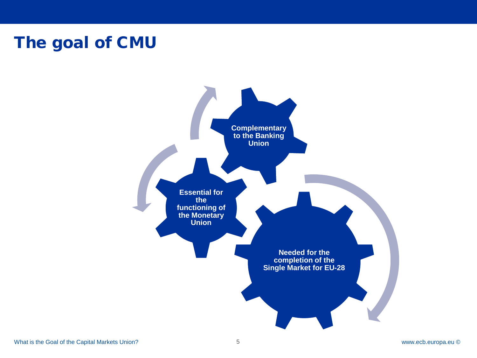## The goal of CMU

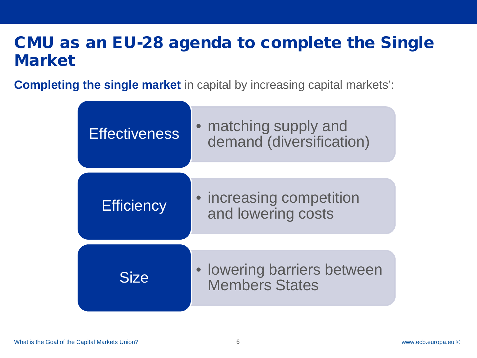# CMU as an EU-28 agenda to complete the Single Market

**Completing the single market** in capital by increasing capital markets':

| <b>Effectiveness</b> | matching supply and<br>demand (diversification)           |
|----------------------|-----------------------------------------------------------|
| <b>Efficiency</b>    | • increasing competition<br>and lowering costs            |
| <b>Size</b>          | <b>lowering barriers between</b><br><b>Members States</b> |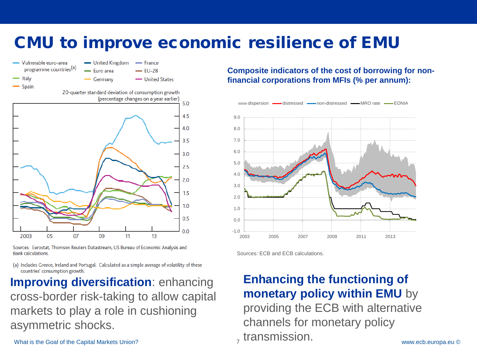# CMU to improve economic resilience of EMU



Sources: Eurostat, Thomson Reuters Datastream, US Bureau of Economic Analysis and **Bank calculations.** 

(a) Includes Greece, Ireland and Portugal. Calculated as a simple average of volatility of these countries' consumption growth.

**Improving diversification**: enhancing cross-border risk-taking to allow capital markets to play a role in cushioning asymmetric shocks.

What is the Goal of the Capital Markets Union?

**Composite indicators of the cost of borrowing for nonfinancial corporations from MFIs (% per annum):**



Sources: ECB and ECB calculations.

#### **Enhancing the functioning of monetary policy within EMU** by

providing the ECB with alternative channels for monetary policy <sub>z</sub> transmission.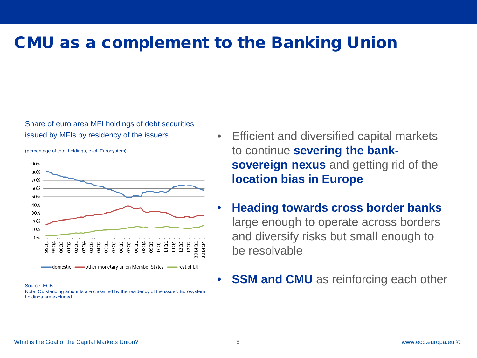### CMU as a complement to the Banking Union

#### Share of euro area MFI holdings of debt securities issued by MFIs by residency of the issuers



(percentage of total holdings, excl. Eurosystem)

#### Source: ECB.

Note: Outstanding amounts are classified by the residency of the issuer. Eurosystem holdings are excluded.

- Efficient and diversified capital markets to continue **severing the banksovereign nexus** and getting rid of the **location bias in Europe**
- **Heading towards cross border banks**  large enough to operate across borders and diversify risks but small enough to be resolvable
- **SSM and CMU** as reinforcing each other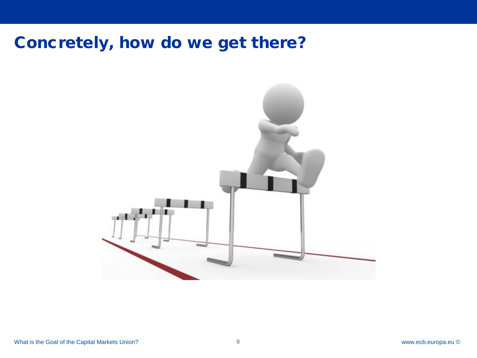## Concretely, how do we get there?

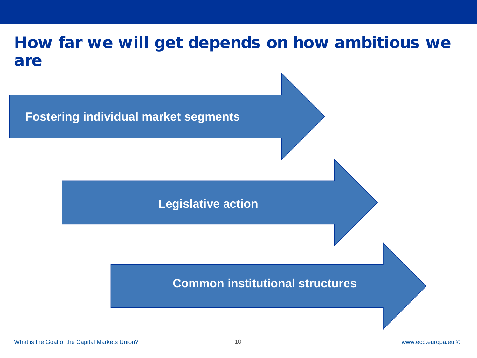## How far we will get depends on how ambitious we are



#### **Legislative action**

#### **Common institutional structures**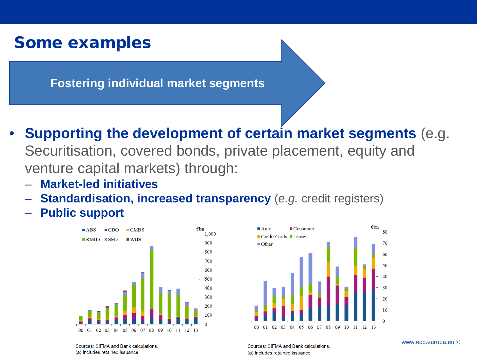#### Some examples

**Fostering individual market segments**

- **Supporting the development of certain market segments** (e.g. Securitisation, covered bonds, private placement, equity and venture capital markets) through:
	- **Market-led initiatives**
	- **Standardisation, increased transparency** (*e.g.* credit registers)
	- **Public support**





Sources: SIFMA and Bank calculations (a) Includes retained issuance

Sources: SIFMA and Bank calculations. (a) Includes retained issuance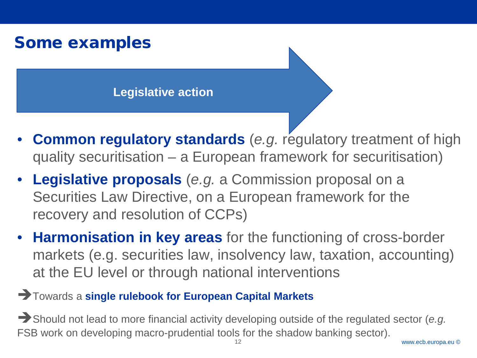## Some examples

**Legislative action**

- **Common regulatory standards** (*e.g.* regulatory treatment of high quality securitisation – a European framework for securitisation)
- **Legislative proposals** (*e.g.* a Commission proposal on a Securities Law Directive, on a European framework for the recovery and resolution of CCPs)
- **Harmonisation in key areas** for the functioning of cross-border markets (e.g. securities law, insolvency law, taxation, accounting) at the EU level or through national interventions
- Towards a **single rulebook for European Capital Markets**

Should not lead to more financial activity developing outside of the regulated sector (*e.g.* FSB work on developing macro-prudential tools for the shadow banking sector). 12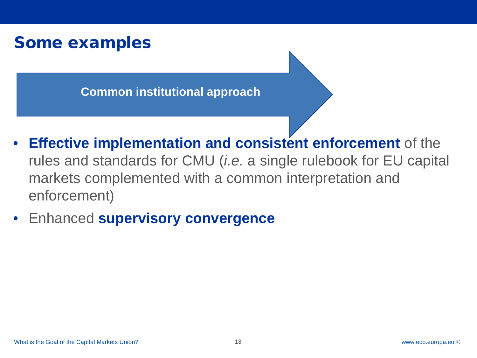### Some examples

**Common institutional approach**

- **Effective implementation and consistent enforcement** of the rules and standards for CMU (*i.e.* a single rulebook for EU capital markets complemented with a common interpretation and enforcement)
- Enhanced **supervisory convergence**